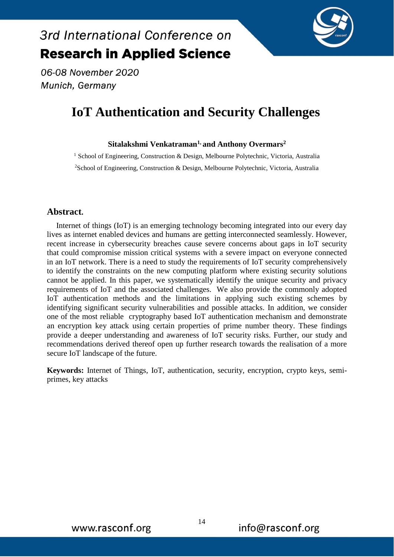# **IoT Authentication and Security Challenges**

06-08 November 2020

Munich, Germany

3rd International Conference on

**Research in Applied Science** 

### **Sitalakshmi Venkatraman1, and Anthony Overmars<sup>2</sup>**

<sup>1</sup> School of Engineering, Construction & Design, Melbourne Polytechnic, Victoria, Australia <sup>2</sup>School of Engineering, Construction & Design, Melbourne Polytechnic, Victoria, Australia

### **Abstract.**

Internet of things (IoT) is an emerging technology becoming integrated into our every day lives as internet enabled devices and humans are getting interconnected seamlessly. However, recent increase in cybersecurity breaches cause severe concerns about gaps in IoT security that could compromise mission critical systems with a severe impact on everyone connected in an IoT network. There is a need to study the requirements of IoT security comprehensively to identify the constraints on the new computing platform where existing security solutions cannot be applied. In this paper, we systematically identify the unique security and privacy requirements of IoT and the associated challenges. We also provide the commonly adopted IoT authentication methods and the limitations in applying such existing schemes by identifying significant security vulnerabilities and possible attacks. In addition, we consider one of the most reliable cryptography based IoT authentication mechanism and demonstrate an encryption key attack using certain properties of prime number theory. These findings provide a deeper understanding and awareness of IoT security risks. Further, our study and recommendations derived thereof open up further research towards the realisation of a more secure IoT landscape of the future.

**Keywords:** Internet of Things, IoT, authentication, security, encryption, crypto keys, semiprimes, key attacks

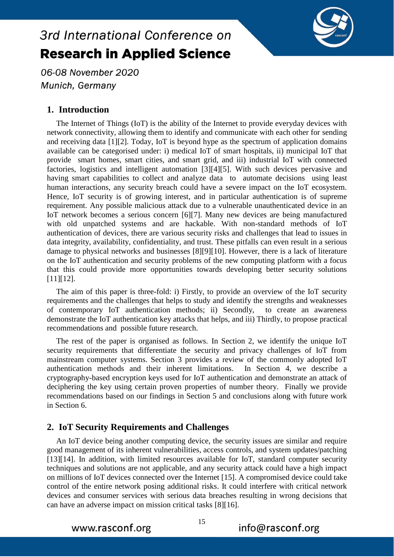

06-08 November 2020 Munich, Germany

### **1. Introduction**

The Internet of Things (IoT) is the ability of the Internet to provide everyday devices with network connectivity, allowing them to identify and communicate with each other for sending and receiving data [1][2]. Today, IoT is beyond hype as the spectrum of application domains available can be categorised under: i) medical IoT of smart hospitals, ii) municipal IoT that provide smart homes, smart cities, and smart grid, and iii) industrial IoT with connected factories, logistics and intelligent automation [3][4][5]. With such devices pervasive and having smart capabilities to collect and analyze data to automate decisions using least human interactions, any security breach could have a severe impact on the IoT ecosystem. Hence, IoT security is of growing interest, and in particular authentication is of supreme requirement. Any possible malicious attack due to a vulnerable unauthenticated device in an IoT network becomes a serious concern [6][7]. Many new devices are being manufactured with old unpatched systems and are hackable. With non-standard methods of IoT authentication of devices, there are various security risks and challenges that lead to issues in data integrity, availability, confidentiality, and trust. These pitfalls can even result in a serious damage to physical networks and businesses [8][9][10]. However, there is a lack of literature on the IoT authentication and security problems of the new computing platform with a focus that this could provide more opportunities towards developing better security solutions [11][12].

The aim of this paper is three-fold: i) Firstly, to provide an overview of the IoT security requirements and the challenges that helps to study and identify the strengths and weaknesses of contemporary IoT authentication methods; ii) Secondly, to create an awareness demonstrate the IoT authentication key attacks that helps, and iii) Thirdly, to propose practical recommendations and possible future research.

The rest of the paper is organised as follows. In Section 2, we identify the unique IoT security requirements that differentiate the security and privacy challenges of IoT from mainstream computer systems. Section 3 provides a review of the commonly adopted IoT authentication methods and their inherent limitations. In Section 4, we describe a cryptography-based encryption keys used for IoT authentication and demonstrate an attack of deciphering the key using certain proven properties of number theory. Finally we provide recommendations based on our findings in Section 5 and conclusions along with future work in Section 6.

### **2. IoT Security Requirements and Challenges**

An IoT device being another computing device, the security issues are similar and require good management of its inherent vulnerabilities, access controls, and system updates/patching [13][14]. In addition, with limited resources available for IoT, standard computer security techniques and solutions are not applicable, and any security attack could have a high impact on millions of IoT devices connected over the Internet [15]. A compromised device could take control of the entire network posing additional risks. It could interfere with critical network devices and consumer services with serious data breaches resulting in wrong decisions that can have an adverse impact on mission critical tasks [8][16].

www.rasconf.org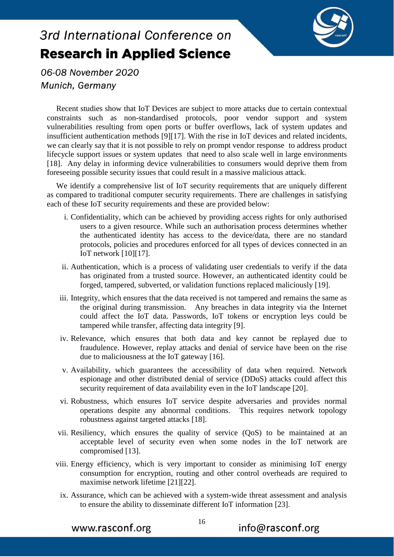

06-08 November 2020 Munich, Germany

Recent studies show that IoT Devices are subject to more attacks due to certain contextual constraints such as non-standardised protocols, poor vendor support and system vulnerabilities resulting from open ports or buffer overflows, lack of system updates and insufficient authentication methods [9][17]. With the rise in IoT devices and related incidents, we can clearly say that it is not possible to rely on prompt vendor response to address product lifecycle support issues or system updates that need to also scale well in large environments [18]. Any delay in informing device vulnerabilities to consumers would deprive them from foreseeing possible security issues that could result in a massive malicious attack.

We identify a comprehensive list of IoT security requirements that are uniquely different as compared to traditional computer security requirements. There are challenges in satisfying each of these IoT security requirements and these are provided below:

- i. Confidentiality, which can be achieved by providing access rights for only authorised users to a given resource. While such an authorisation process determines whether the authenticated identity has access to the device/data, there are no standard protocols, policies and procedures enforced for all types of devices connected in an IoT network [10][17].
- ii. Authentication, which is a process of validating user credentials to verify if the data has originated from a trusted source. However, an authenticated identity could be forged, tampered, subverted, or validation functions replaced maliciously [19].
- iii. Integrity, which ensures that the data received is not tampered and remains the same as the original during transmission. Any breaches in data integrity via the Internet could affect the IoT data. Passwords, IoT tokens or encryption leys could be tampered while transfer, affecting data integrity [9].
- iv. Relevance, which ensures that both data and key cannot be replayed due to fraudulence. However, replay attacks and denial of service have been on the rise due to maliciousness at the IoT gateway [16].
- v. Availability, which guarantees the accessibility of data when required. Network espionage and other distributed denial of service (DDoS) attacks could affect this security requirement of data availability even in the IoT landscape [20].
- vi. Robustness, which ensures IoT service despite adversaries and provides normal operations despite any abnormal conditions. This requires network topology robustness against targeted attacks [18].
- vii. Resiliency, which ensures the quality of service (QoS) to be maintained at an acceptable level of security even when some nodes in the IoT network are compromised [13].
- viii. Energy efficiency, which is very important to consider as minimising IoT energy consumption for encryption, routing and other control overheads are required to maximise network lifetime [21][22].
- ix. Assurance, which can be achieved with a system-wide threat assessment and analysis to ensure the ability to disseminate different IoT information [23].

www.rasconf.org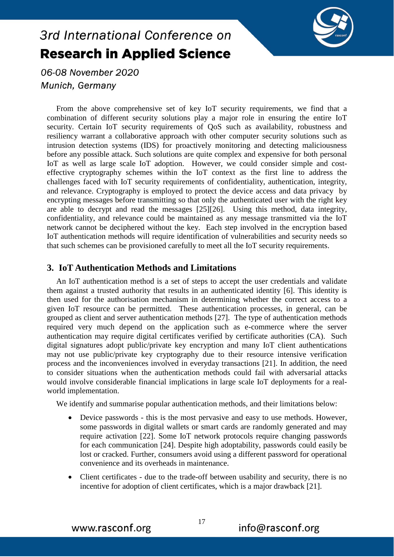

06-08 November 2020 Munich, Germany

From the above comprehensive set of key IoT security requirements, we find that a combination of different security solutions play a major role in ensuring the entire IoT security. Certain IoT security requirements of QoS such as availability, robustness and resiliency warrant a collaborative approach with other computer security solutions such as intrusion detection systems (IDS) for proactively monitoring and detecting maliciousness before any possible attack. Such solutions are quite complex and expensive for both personal IoT as well as large scale IoT adoption. However, we could consider simple and costeffective cryptography schemes within the IoT context as the first line to address the challenges faced with IoT security requirements of confidentiality, authentication, integrity, and relevance. Cryptography is employed to protect the device access and data privacy by encrypting messages before transmitting so that only the authenticated user with the right key are able to decrypt and read the messages [25][26]. Using this method, data integrity, confidentiality, and relevance could be maintained as any message transmitted via the IoT network cannot be deciphered without the key. Each step involved in the encryption based IoT authentication methods will require identification of vulnerabilities and security needs so that such schemes can be provisioned carefully to meet all the IoT security requirements.

### **3. IoT Authentication Methods and Limitations**

An IoT authentication method is a set of steps to accept the user credentials and validate them against a trusted authority that results in an authenticated identity [6]. This identity is then used for the authorisation mechanism in determining whether the correct access to a given IoT resource can be permitted. These authentication processes, in general, can be grouped as client and server authentication methods [27]. The type of authentication methods required very much depend on the application such as e-commerce where the server authentication may require digital certificates verified by certificate authorities (CA). Such digital signatures adopt public/private key encryption and many IoT client authentications may not use public/private key cryptography due to their resource intensive verification process and the inconveniences involved in everyday transactions [21]. In addition, the need to consider situations when the authentication methods could fail with adversarial attacks would involve considerable financial implications in large scale IoT deployments for a realworld implementation.

We identify and summarise popular authentication methods, and their limitations below:

- Device passwords this is the most pervasive and easy to use methods. However, some passwords in digital wallets or smart cards are randomly generated and may require activation [22]. Some IoT network protocols require changing passwords for each communication [24]. Despite high adoptability, passwords could easily be lost or cracked. Further, consumers avoid using a different password for operational convenience and its overheads in maintenance.
- Client certificates due to the trade-off between usability and security, there is no incentive for adoption of client certificates, which is a major drawback [21].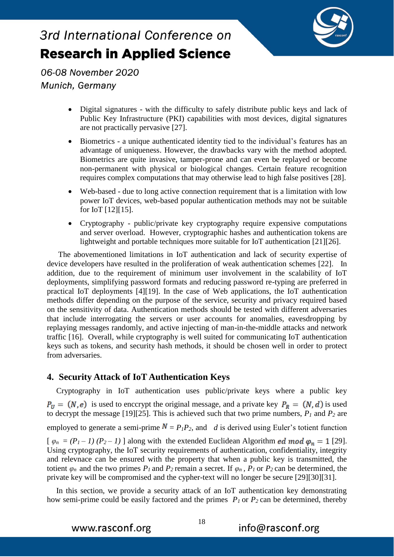

06-08 November 2020 Munich, Germany

- Digital signatures with the difficulty to safely distribute public keys and lack of Public Key Infrastructure (PKI) capabilities with most devices, digital signatures are not practically pervasive [27].
- Biometrics a unique authenticated identity tied to the individual's features has an advantage of uniqueness. However, the drawbacks vary with the method adopted. Biometrics are quite invasive, tamper-prone and can even be replayed or become non-permanent with physical or biological changes. Certain feature recognition requires complex computations that may otherwise lead to high false positives [28].
- Web-based due to long active connection requirement that is a limitation with low power IoT devices, web-based popular authentication methods may not be suitable for IoT [12][15].
- Cryptography public/private key cryptography require expensive computations and server overload. However, cryptographic hashes and authentication tokens are lightweight and portable techniques more suitable for IoT authentication [21][26].

The abovementioned limitations in IoT authentication and lack of security expertise of device developers have resulted in the proliferation of weak authentication schemes [22]. In addition, due to the requirement of minimum user involvement in the scalability of IoT deployments, simplifying password formats and reducing password re-typing are preferred in practical IoT deployments [4][19]. In the case of Web applications, the IoT authentication methods differ depending on the purpose of the service, security and privacy required based on the sensitivity of data. Authentication methods should be tested with different adversaries that include interrogating the servers or user accounts for anomalies, eavesdropping by replaying messages randomly, and active injecting of man-in-the-middle attacks and network traffic [16]. Overall, while cryptography is well suited for communicating IoT authentication keys such as tokens, and security hash methods, it should be chosen well in order to protect from adversaries.

### **4. Security Attack of IoT Authentication Keys**

Cryptography in IoT authentication uses public/private keys where a public key  $P_U = (N, e)$  is used to enccrypt the original message, and a private key  $P_R = (N, d)$  is used to decrypt the message [19][25]. This is achieved such that two prime numbers,  $P_I$  and  $P_2$  are employed to generate a semi-prime  $N = P_I P_2$ , and *d* is derived using Euler's totient function  $[\varphi_n = (P_1 - 1)(P_2 - 1)]$  along with the extended Euclidean Algorithm *ed mod*  $\varphi_n = 1$  [29]. Using cryptography, the IoT security requirements of authentication, confidentiality, integrity and relevnace can be ensured with the property that when a public key is transmitted, the totient  $\varphi_n$  and the two primes  $P_1$  and  $P_2$  remain a secret. If  $\varphi_n$ ,  $P_1$  or  $P_2$  can be determined, the private key will be compromised and the cypher-text will no longer be secure [29][30][31].

In this section, we provide a security attack of an IoT authentication key demonstrating how semi-prime could be easily factored and the primes *P<sup>1</sup>* or *P2* can be determined, thereby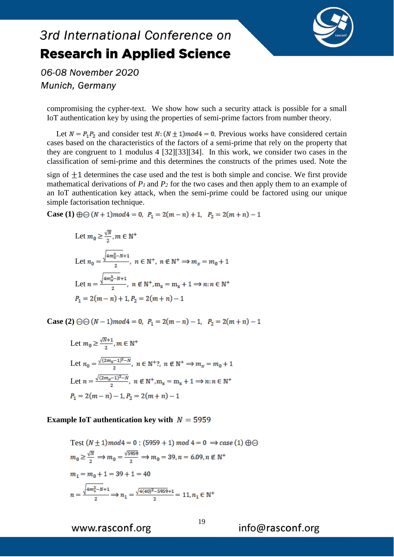

06-08 November 2020 Munich, Germany

compromising the cypher-text. We show how such a security attack is possible for a small IoT authentication key by using the properties of semi-prime factors from number theory.

Let  $N = P_1 P_2$  and consider test  $N: (N \pm 1) \mod 4 = 0$ . Previous works have considered certain cases based on the characteristics of the factors of a semi-prime that rely on the property that they are congruent to 1 modulus 4 [32][33][34]. In this work, we consider two cases in the classification of semi-prime and this determines the constructs of the primes used. Note the

sign of  $\pm 1$  determines the case used and the test is both simple and concise. We first provide mathematical derivations of  $P_I$  and  $P_2$  for the two cases and then apply them to an example of an IoT authentication key attack, when the semi-prime could be factored using our unique simple factorisation technique.

**Case (1)**  $\oplus \oplus (N+1) \mod 4 = 0$ ,  $P_1 = 2(m-n) + 1$ ,  $P_2 = 2(m+n) - 1$ 

Let 
$$
m_0 \ge \frac{\sqrt{N}}{2}
$$
,  $m \in \mathbb{N}^+$   
\nLet  $n_0 = \frac{\sqrt{4m_0^2 - N} + 1}{2}$ ,  $n \in \mathbb{N}^+$ ,  $n \notin \mathbb{N}^+ \Rightarrow m_x = m_0 + 1$   
\nLet  $n = \frac{\sqrt{4m_x^2 - N} + 1}{2}$ ,  $n \notin \mathbb{N}^+, m_x = m_x + 1 \Rightarrow n : n \in \mathbb{N}^+$   
\n $P_1 = 2(m - n) + 1, P_2 = 2(m + n) - 1$ 

**Case (2)**  $\Theta$   $(N-1)$  mod  $4 = 0$ ,  $P_1 = 2(m-n) - 1$ ,  $P_2 = 2(m+n) - 1$ 

Let 
$$
m_0 \ge \frac{\sqrt{N}+1}{2}
$$
,  $m \in \mathbb{N}^+$   
\nLet  $n_0 = \frac{\sqrt{(2m_0-1)^2-N}}{2}$ ,  $n \in \mathbb{N}^+$ ?,  $n \notin \mathbb{N}^+ \Rightarrow m_x = m_0 + 1$   
\nLet  $n = \frac{\sqrt{(2m_x-1)^2-N}}{2}$ ,  $n \notin \mathbb{N}^+, m_x = m_x + 1 \Rightarrow n : n \in \mathbb{N}^+$   
\n $P_1 = 2(m-n) - 1, P_2 = 2(m+n) - 1$ 

#### **Example IoT authentication key with**  $N = 5959$

Test 
$$
(N \pm 1) mod 4 = 0
$$
 : (5959 + 1) mod 4 = 0  $\Rightarrow$  case (1)  $\oplus \ominus$   
\n $m_0 \ge \frac{\sqrt{N}}{2} \Rightarrow m_0 = \frac{\sqrt{5959}}{2} \Rightarrow m_0 = 39, n = 6.09, n \notin \mathbb{N}^+$   
\n $m_1 = m_0 + 1 = 39 + 1 = 40$   
\n $n = \frac{\sqrt{4m_1^2 - N + 1}}{2} \Rightarrow n_1 = \frac{\sqrt{4(40)^2 - 5959} + 1}{2} = 11, n_1 \in \mathbb{N}^+$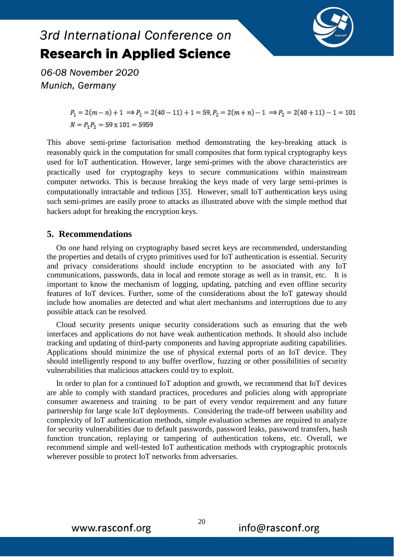

06-08 November 2020 Munich, Germany

> $P_1 = 2(m-n)+1 \implies P_1 = 2(40-11)+1 = 59, P_2 = 2(m+n)-1 \implies P_2 = 2(40+11)-1 = 101$  $N = P_1 P_2 = 59 \times 101 = 5959$

This above semi-prime factorisation method demonstrating the key-breaking attack is reasonably quick in the computation for small composites that form typical cryptography keys used for IoT authentication. However, large semi-primes with the above characteristics are practically used for cryptography keys to secure communications within mainstream computer networks. This is because breaking the keys made of very large semi-primes is computationally intractable and tedious [35]. However, small IoT authentication keys using such semi-primes are easily prone to attacks as illustrated above with the simple method that hackers adopt for breaking the encryption keys.

### **5. Recommendations**

On one hand relying on cryptography based secret keys are recommended, understanding the properties and details of crypto primitives used for IoT authentication is essential. Security and privacy considerations should include encryption to be associated with any IoT communications, passwords, data in local and remote storage as well as in transit, etc. It is important to know the mechanism of logging, updating, patching and even offline security features of IoT devices. Further, some of the considerations about the IoT gateway should include how anomalies are detected and what alert mechanisms and interruptions due to any possible attack can be resolved.

Cloud security presents unique security considerations such as ensuring that the web interfaces and applications do not have weak authentication methods. It should also include tracking and updating of third-party components and having appropriate auditing capabilities. Applications should minimize the use of physical external ports of an IoT device. They should intelligently respond to any buffer overflow, fuzzing or other possibilities of security vulnerabilities that malicious attackers could try to exploit.

In order to plan for a continued IoT adoption and growth, we recommend that IoT devices are able to comply with standard practices, procedures and policies along with appropriate consumer awareness and training to be part of every vendor requirement and any future partnership for large scale IoT deployments. Considering the trade-off between usability and complexity of IoT authentication methods, simple evaluation schemes are required to analyze for security vulnerabilities due to default passwords, password leaks, password transfers, hash function truncation, replaying or tampering of authentication tokens, etc. Overall, we recommend simple and well-tested IoT authentication methods with cryptographic protocols wherever possible to protect IoT networks from adversaries.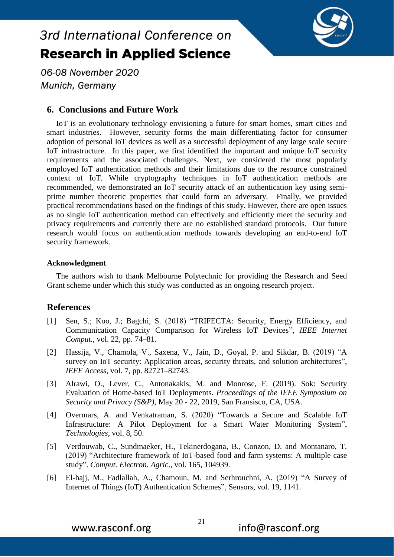

06-08 November 2020 Munich, Germany

### **6. Conclusions and Future Work**

IoT is an evolutionary technology envisioning a future for smart homes, smart cities and smart industries. However, security forms the main differentiating factor for consumer adoption of personal IoT devices as well as a successful deployment of any large scale secure IoT infrastructure. In this paper, we first identified the important and unique IoT security requirements and the associated challenges. Next, we considered the most popularly employed IoT authentication methods and their limitations due to the resource constrained context of IoT. While cryptography techniques in IoT authentication methods are recommended, we demonstrated an IoT security attack of an authentication key using semiprime number theoretic properties that could form an adversary. Finally, we provided practical recommendations based on the findings of this study. However, there are open issues as no single IoT authentication method can effectively and efficiently meet the security and privacy requirements and currently there are no established standard protocols. Our future research would focus on authentication methods towards developing an end-to-end IoT security framework.

#### **Acknowledgment**

The authors wish to thank Melbourne Polytechnic for providing the Research and Seed Grant scheme under which this study was conducted as an ongoing research project.

### **References**

- [1] Sen, S.; Koo, J.; Bagchi, S. (2018) "TRIFECTA: Security, Energy Efficiency, and Communication Capacity Comparison for Wireless IoT Devices", *IEEE Internet Comput.*, vol. 22, pp. 74–81.
- [2] Hassija, V., Chamola, V., Saxena, V., Jain, D., Goyal, P. and Sikdar, B. (2019) "A survey on IoT security: Application areas, security threats, and solution architectures", *IEEE Access*, vol. 7, pp. 82721–82743.
- [3] Alrawi, O., Lever, C., Antonakakis, M. and Monrose, F. (2019). Sok: Security Evaluation of Home-based IoT Deployments. *Proceedings of the IEEE Symposium on Security and Privacy (S&P),* May 20 - 22, 2019, San Fransisco, CA, USA.
- [4] Overmars, A. and Venkatraman, S. (2020) "Towards a Secure and Scalable IoT Infrastructure: A Pilot Deployment for a Smart Water Monitoring System", *Technologies*, vol. 8, 50.
- [5] Verdouwab, C., Sundmaeker, H., Tekinerdogana, B., Conzon, D. and Montanaro, T. (2019) "Architecture framework of IoT-based food and farm systems: A multiple case study". *Comput. Electron. Agric*., vol. 165, 104939.
- [6] El-hajj, M., Fadlallah, A., Chamoun, M. and Serhrouchni, A. (2019) "A Survey of Internet of Things (IoT) Authentication Schemes", Sensors, vol. 19, 1141.

www.rasconf.org

21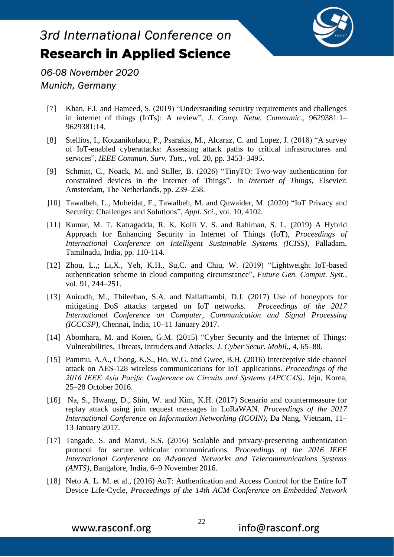

06-08 November 2020 Munich, Germany

- [7] Khan, F.I. and Hameed, S. (2019) "Understanding security requirements and challenges in internet of things (IoTs): A review", *J. Comp. Netw. Communic*., 9629381:1– 9629381:14.
- [8] Stellios, I., Kotzanikolaou, P., Psarakis, M., Alcaraz, C. and Lopez, J. (2018) "A survey of IoT-enabled cyberattacks: Assessing attack paths to critical infrastructures and services", *IEEE Commun. Surv. Tuts.,* vol. 20, pp. 3453–3495.
- [9] Schmitt, C., Noack, M. and Stiller, B. (2026) "TinyTO: Two-way authentication for constrained devices in the Internet of Things". In *Internet of Things,* Elsevier: Amsterdam, The Netherlands, pp. 239–258.
- ]10] Tawalbeh, L., Muheidat, F., Tawalbeh, M. and Quwaider, M. (2020) "IoT Privacy and Security: Challenges and Solutions", *Appl. Sci*., vol. 10, 4102.
- [11] Kumar, M. T. Katragadda, R. K. Kolli V. S. and Rahiman, S. L. (2019) A Hybrid Approach for Enhancing Security in Internet of Things (IoT), *Proceedings of International Conference on Intelligent Sustainable Systems (ICISS)*, Palladam, Tamilnadu, India, pp. 110-114.
- [12] Zhou, L.,; Li,X., Yeh, K.H., Su,C. and Chiu, W. (2019) "Lightweight IoT-based authentication scheme in cloud computing circumstance", *Future Gen. Comput. Syst.,* vol. 91, 244–251.
- [13] Anirudh, M., Thileeban, S.A. and Nallathambi, D.J. (2017) Use of honeypots for mitigating DoS attacks targeted on IoT networks. *Proceedings of the 2017 International Conference on Computer, Communication and Signal Processing (ICCCSP),* Chennai, India, 10–11 January 2017.
- [14] Abomhara, M. and Koien, G.M. (2015) "Cyber Security and the Internet of Things: Vulnerabilities, Threats, Intruders and Attacks. *J. Cyber Secur. Mobil.,* 4, 65–88.
- [15] Pammu, A.A., Chong, K.S., Ho, W.G. and Gwee, B.H. (2016) Interceptive side channel attack on AES-128 wireless communications for IoT applications. *Proceedings of the 2016 IEEE Asia Pacific Conference on Circuits and Systems (APCCAS)*, Jeju, Korea, 25–28 October 2016.
- [16] Na, S., Hwang, D., Shin, W. and Kim, K.H. (2017) Scenario and countermeasure for replay attack using join request messages in LoRaWAN. *Proceedings of the 2017 International Conference on Information Networking (ICOIN),* Da Nang, Vietnam, 11– 13 January 2017.
- [17] Tangade, S. and Manvi, S.S. (2016) Scalable and privacy-preserving authentication protocol for secure vehicular communications. *Proceedings of the 2016 IEEE International Conference on Advanced Networks and Telecommunications Systems (ANTS)*, Bangalore, India, 6–9 November 2016.
- [18] Neto A. L. M. et al., (2016) AoT: Authentication and Access Control for the Entire IoT Device Life-Cycle, *Proceedings of the 14th ACM Conference on Embedded Network*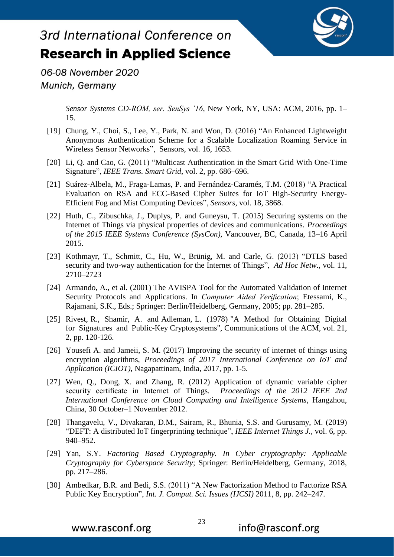

06-08 November 2020 Munich, Germany

> *Sensor Systems CD-ROM, ser. SenSys '16*, New York, NY, USA: ACM, 2016, pp. 1– 15.

- [19] Chung, Y., Choi, S., Lee, Y., Park, N. and Won, D. (2016) "An Enhanced Lightweight Anonymous Authentication Scheme for a Scalable Localization Roaming Service in Wireless Sensor Networks", Sensors, vol. 16, 1653.
- [20] Li, Q. and Cao, G. (2011) "Multicast Authentication in the Smart Grid With One-Time Signature", *IEEE Trans. Smart Grid*, vol. 2, pp. 686–696.
- [21] Suárez-Albela, M., Fraga-Lamas, P. and Fernández-Caramés, T.M. (2018) "A Practical Evaluation on RSA and ECC-Based Cipher Suites for IoT High-Security Energy-Efficient Fog and Mist Computing Devices", *Sensors*, vol. 18, 3868.
- [22] Huth, C., Zibuschka, J., Duplys, P. and Guneysu, T. (2015) Securing systems on the Internet of Things via physical properties of devices and communications. *Proceedings of the 2015 IEEE Systems Conference (SysCon),* Vancouver, BC, Canada, 13–16 April 2015.
- [23] Kothmayr, T., Schmitt, C., Hu, W., Brünig, M. and Carle, G. (2013) "DTLS based security and two-way authentication for the Internet of Things", *Ad Hoc Netw.,* vol. 11, 2710–2723
- [24] Armando, A., et al. (2001) The AVISPA Tool for the Automated Validation of Internet Security Protocols and Applications. In *Computer Aided Verification*; Etessami, K., Rajamani, S.K., Eds.; Springer: Berlin/Heidelberg, Germany, 2005; pp. 281–285.
- [25] Rivest, R., Shamir, A. and Adleman, L. (1978) "A Method for Obtaining Digital for Signatures and Public-Key Cryptosystems", Communications of the ACM, vol. 21, 2, pp. 120-126.
- [26] Yousefi A. and Jameii, S. M. (2017) Improving the security of internet of things using encryption algorithms, *Proceedings of 2017 International Conference on IoT and Application (ICIOT),* Nagapattinam, India, 2017, pp. 1-5.
- [27] Wen, Q., Dong, X. and Zhang, R. (2012) Application of dynamic variable cipher security certificate in Internet of Things. *Proceedings of the 2012 IEEE 2nd International Conference on Cloud Computing and Intelligence Systems*, Hangzhou, China, 30 October–1 November 2012.
- [28] Thangavelu, V., Divakaran, D.M., Sairam, R., Bhunia, S.S. and Gurusamy, M. (2019) "DEFT: A distributed IoT fingerprinting technique", *IEEE Internet Things J.*, vol. 6, pp. 940–952.
- [29] Yan, S.Y. *Factoring Based Cryptography. In Cyber cryptography: Applicable Cryptography for Cyberspace Security*; Springer: Berlin/Heidelberg, Germany, 2018, pp. 217–286.
- [30] Ambedkar, B.R. and Bedi, S.S. (2011) "A New Factorization Method to Factorize RSA Public Key Encryption", *Int. J. Comput. Sci. Issues (IJCSI)* 2011, 8, pp. 242–247.

www.rasconf.org